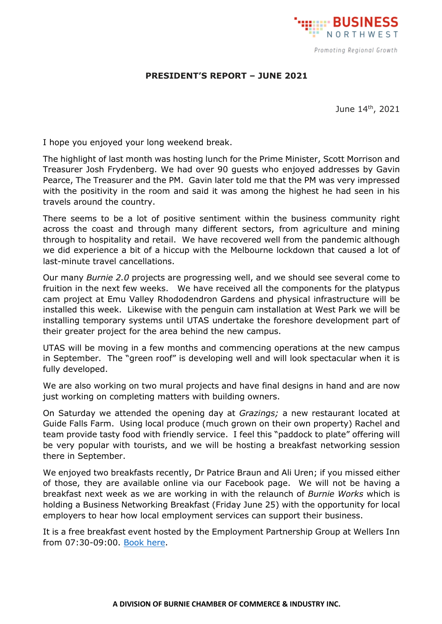

## **PRESIDENT'S REPORT – JUNE 2021**

June 14th, 2021

I hope you enjoyed your long weekend break.

The highlight of last month was hosting lunch for the Prime Minister, Scott Morrison and Treasurer Josh Frydenberg. We had over 90 guests who enjoyed addresses by Gavin Pearce, The Treasurer and the PM. Gavin later told me that the PM was very impressed with the positivity in the room and said it was among the highest he had seen in his travels around the country.

There seems to be a lot of positive sentiment within the business community right across the coast and through many different sectors, from agriculture and mining through to hospitality and retail. We have recovered well from the pandemic although we did experience a bit of a hiccup with the Melbourne lockdown that caused a lot of last-minute travel cancellations.

Our many *Burnie 2.0* projects are progressing well, and we should see several come to fruition in the next few weeks. We have received all the components for the platypus cam project at Emu Valley Rhododendron Gardens and physical infrastructure will be installed this week. Likewise with the penguin cam installation at West Park we will be installing temporary systems until UTAS undertake the foreshore development part of their greater project for the area behind the new campus.

UTAS will be moving in a few months and commencing operations at the new campus in September. The "green roof" is developing well and will look spectacular when it is fully developed.

We are also working on two mural projects and have final designs in hand and are now just working on completing matters with building owners.

On Saturday we attended the opening day at *Grazings;* a new restaurant located at Guide Falls Farm. Using local produce (much grown on their own property) Rachel and team provide tasty food with friendly service. I feel this "paddock to plate" offering will be very popular with tourists, and we will be hosting a breakfast networking session there in September.

We enjoyed two breakfasts recently, Dr Patrice Braun and Ali Uren; if you missed either of those, they are available online via our Facebook page. We will not be having a breakfast next week as we are working in with the relaunch of *Burnie Works* which is holding a Business Networking Breakfast (Friday June 25) with the opportunity for local employers to hear how local employment services can support their business.

It is a free breakfast event hosted by the Employment Partnership Group at Wellers Inn from 07:30-09:00. [Book here.](https://www.stickytickets.com.au/4szai/business_networking_breakfast.aspx)